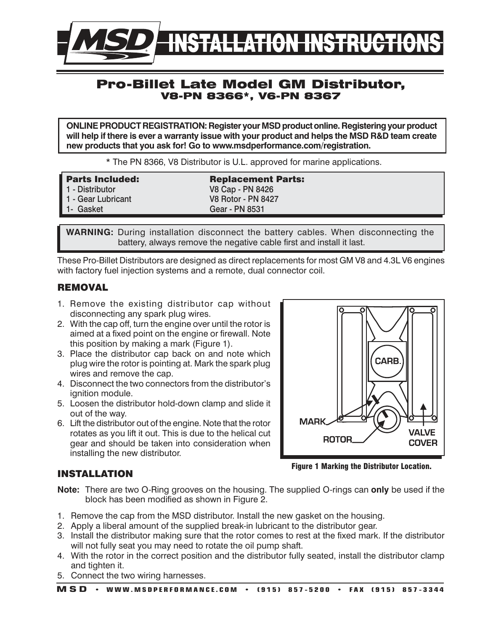

# Pro-Billet Late Model GM Distributor, V8-PN 8366\*, V6-PN 8367

**ONLINE PRODUCT REGISTRATION: Register your MSD product online. Registering your product will help if there is ever a warranty issue with your product and helps the MSD R&D team create new products that you ask for! Go to www.msdperformance.com/registration.**

\* The PN 8366, V8 Distributor is U.L. approved for marine applications.

| <b>Parts Included:</b> | <b>Replacement Parts:</b> |
|------------------------|---------------------------|
| 1 - Distributor        | V8 Cap - PN 8426          |
| 1 - Gear Lubricant     | <b>V8 Rotor - PN 8427</b> |
| 1- Gasket              | Gear - PN 8531            |
|                        |                           |

**WARNING:** During installation disconnect the battery cables. When disconnecting the battery, always remove the negative cable first and install it last.

These Pro-Billet Distributors are designed as direct replacements for most GM V8 and 4.3L V6 engines with factory fuel injection systems and a remote, dual connector coil.

### **REMOVAL**

- 1. Remove the existing distributor cap without disconnecting any spark plug wires.
- 2. With the cap off, turn the engine over until the rotor is aimed at a fixed point on the engine or firewall. Note this position by making a mark (Figure 1).
- 3. Place the distributor cap back on and note which plug wire the rotor is pointing at. Mark the spark plug wires and remove the cap.
- 4. Disconnect the two connectors from the distributor's ignition module.
- 5. Loosen the distributor hold-down clamp and slide it out of the way.
- 6. Lift the distributor out of the engine. Note that the rotor rotates as you lift it out. This is due to the helical cut gear and should be taken into consideration when installing the new distributor.



Figure 1 Marking the Distributor Location.

## INSTALLATION

- **Note:** There are two O-Ring grooves on the housing. The supplied O-rings can **only** be used if the block has been modified as shown in Figure 2.
- 1. Remove the cap from the MSD distributor. Install the new gasket on the housing.
- 2. Apply a liberal amount of the supplied break-in lubricant to the distributor gear.
- 3. Install the distributor making sure that the rotor comes to rest at the fixed mark. If the distributor will not fully seat you may need to rotate the oil pump shaft.
- 4. With the rotor in the correct position and the distributor fully seated, install the distributor clamp and tighten it.
- 5. Connect the two wiring harnesses.